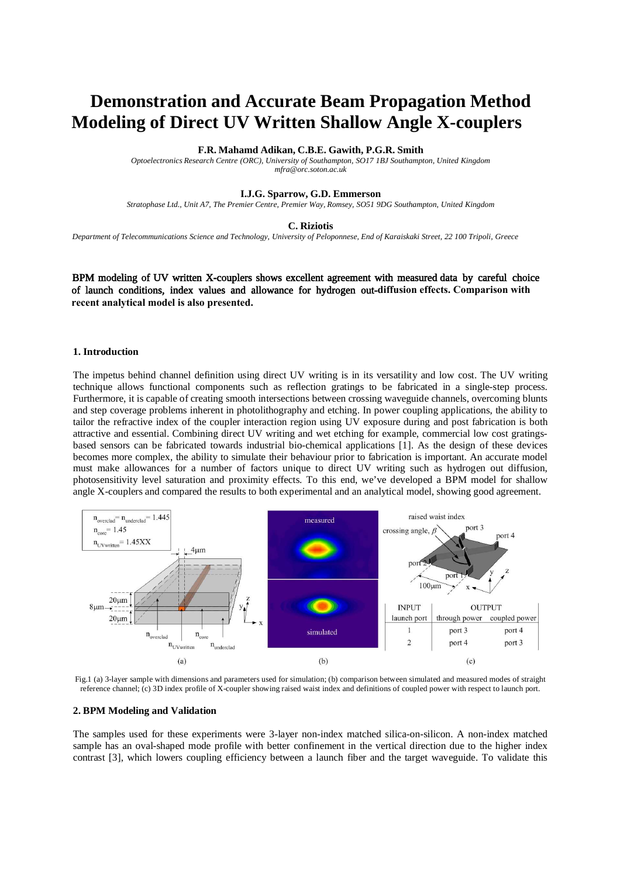# **Demonstration and Accurate Beam Propagation Method Modeling of Direct UV Written Shallow Angle X-couplers**

### **F.R. Mahamd Adikan, C.B.E. Gawith, P.G.R. Smith**

*Optoelectronics Research Centre (ORC), University of Southampton, SO17 1BJ Southampton, United Kingdom mfra@orc.soton.ac.uk* 

#### **I.J.G. Sparrow, G.D. Emmerson**

*Stratophase Ltd., Unit A7, The Premier Centre, Premier Way, Romsey, SO51 9DG Southampton, United Kingdom* 

#### **C. Riziotis**

*Department of Telecommunications Science and Technology, University of Peloponnese, End of Karaiskaki Street, 22 100 Tripoli, Greece* 

BPM modeling of UV written X-couplers shows excellent agreement with measured data by careful choice of launch conditions, index values and allowance for hydrogen out-**diffusion effects. Comparison with recent analytical model is also presented.** 

# **1. Introduction**

The impetus behind channel definition using direct UV writing is in its versatility and low cost. The UV writing technique allows functional components such as reflection gratings to be fabricated in a single-step process. Furthermore, it is capable of creating smooth intersections between crossing waveguide channels, overcoming blunts and step coverage problems inherent in photolithography and etching. In power coupling applications, the ability to tailor the refractive index of the coupler interaction region using UV exposure during and post fabrication is both attractive and essential. Combining direct UV writing and wet etching for example, commercial low cost gratingsbased sensors can be fabricated towards industrial bio-chemical applications [1]. As the design of these devices becomes more complex, the ability to simulate their behaviour prior to fabrication is important. An accurate model must make allowances for a number of factors unique to direct UV writing such as hydrogen out diffusion, photosensitivity level saturation and proximity effects. To this end, we've developed a BPM model for shallow angle X-couplers and compared the results to both experimental and an analytical model, showing good agreement.



Fig.1 (a) 3-layer sample with dimensions and parameters used for simulation; (b) comparison between simulated and measured modes of straight reference channel; (c) 3D index profile of X-coupler showing raised waist index and definitions of coupled power with respect to launch port.

# **2. BPM Modeling and Validation**

The samples used for these experiments were 3-layer non-index matched silica-on-silicon. A non-index matched sample has an oval-shaped mode profile with better confinement in the vertical direction due to the higher index contrast [3], which lowers coupling efficiency between a launch fiber and the target waveguide. To validate this